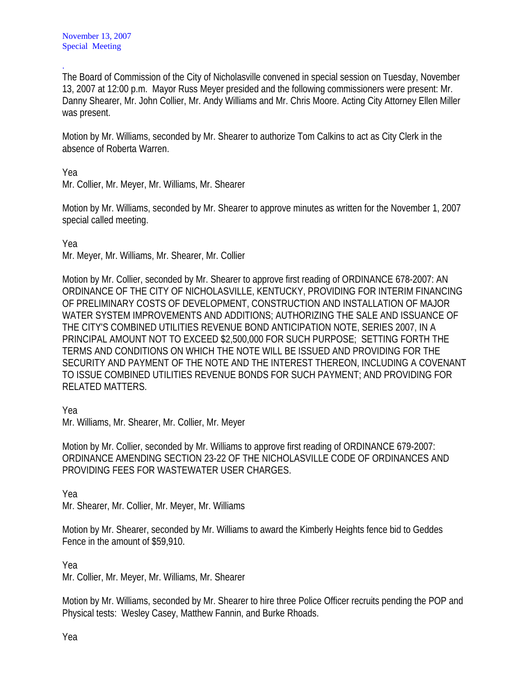The Board of Commission of the City of Nicholasville convened in special session on Tuesday, November 13, 2007 at 12:00 p.m. Mayor Russ Meyer presided and the following commissioners were present: Mr. Danny Shearer, Mr. John Collier, Mr. Andy Williams and Mr. Chris Moore. Acting City Attorney Ellen Miller was present.

Motion by Mr. Williams, seconded by Mr. Shearer to authorize Tom Calkins to act as City Clerk in the absence of Roberta Warren.

Yea

.

Mr. Collier, Mr. Meyer, Mr. Williams, Mr. Shearer

Motion by Mr. Williams, seconded by Mr. Shearer to approve minutes as written for the November 1, 2007 special called meeting.

Yea

Mr. Meyer, Mr. Williams, Mr. Shearer, Mr. Collier

Motion by Mr. Collier, seconded by Mr. Shearer to approve first reading of ORDINANCE 678-2007: AN ORDINANCE OF THE CITY OF NICHOLASVILLE, KENTUCKY, PROVIDING FOR INTERIM FINANCING OF PRELIMINARY COSTS OF DEVELOPMENT, CONSTRUCTION AND INSTALLATION OF MAJOR WATER SYSTEM IMPROVEMENTS AND ADDITIONS; AUTHORIZING THE SALE AND ISSUANCE OF THE CITY'S COMBINED UTILITIES REVENUE BOND ANTICIPATION NOTE, SERIES 2007, IN A PRINCIPAL AMOUNT NOT TO EXCEED \$2,500,000 FOR SUCH PURPOSE; SETTING FORTH THE TERMS AND CONDITIONS ON WHICH THE NOTE WILL BE ISSUED AND PROVIDING FOR THE SECURITY AND PAYMENT OF THE NOTE AND THE INTEREST THEREON, INCLUDING A COVENANT TO ISSUE COMBINED UTILITIES REVENUE BONDS FOR SUCH PAYMENT; AND PROVIDING FOR RELATED MATTERS.

Yea

Mr. Williams, Mr. Shearer, Mr. Collier, Mr. Meyer

Motion by Mr. Collier, seconded by Mr. Williams to approve first reading of ORDINANCE 679-2007: ORDINANCE AMENDING SECTION 23-22 OF THE NICHOLASVILLE CODE OF ORDINANCES AND PROVIDING FEES FOR WASTEWATER USER CHARGES.

Yea

Mr. Shearer, Mr. Collier, Mr. Meyer, Mr. Williams

Motion by Mr. Shearer, seconded by Mr. Williams to award the Kimberly Heights fence bid to Geddes Fence in the amount of \$59,910.

Yea

Mr. Collier, Mr. Meyer, Mr. Williams, Mr. Shearer

Motion by Mr. Williams, seconded by Mr. Shearer to hire three Police Officer recruits pending the POP and Physical tests: Wesley Casey, Matthew Fannin, and Burke Rhoads.